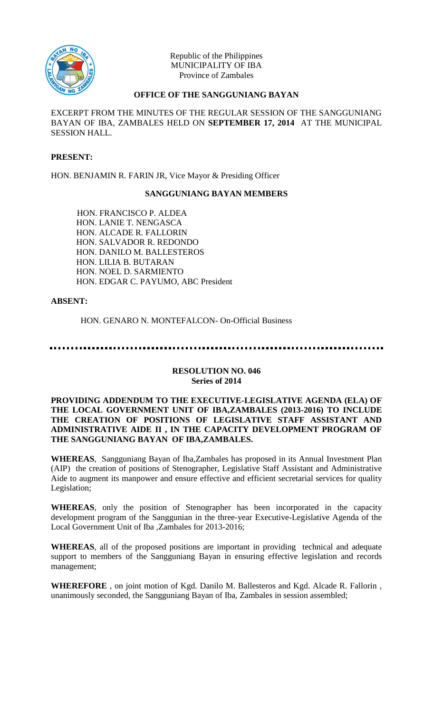

Republic of the Philippines MUNICIPALITY OF IBA Province of Zambales

# **OFFICE OF THE SANGGUNIANG BAYAN**

EXCERPT FROM THE MINUTES OF THE REGULAR SESSION OF THE SANGGUNIANG BAYAN OF IBA, ZAMBALES HELD ON **SEPTEMBER 17, 2014** AT THE MUNICIPAL SESSION HALL.

## **PRESENT:**

HON. BENJAMIN R. FARIN JR, Vice Mayor & Presiding Officer

#### **SANGGUNIANG BAYAN MEMBERS**

HON. FRANCISCO P. ALDEA HON. LANIE T. NENGASCA HON. ALCADE R. FALLORIN HON. SALVADOR R. REDONDO HON. DANILO M. BALLESTEROS HON. LILIA B. BUTARAN HON. NOEL D. SARMIENTO HON. EDGAR C. PAYUMO, ABC President

## **ABSENT:**

HON. GENARO N. MONTEFALCON- On-Official Business

#### **RESOLUTION NO. 046 Series of 2014**

### **PROVIDING ADDENDUM TO THE EXECUTIVE-LEGISLATIVE AGENDA (ELA) OF THE LOCAL GOVERNMENT UNIT OF IBA,ZAMBALES (2013-2016) TO INCLUDE THE CREATION OF POSITIONS OF LEGISLATIVE STAFF ASSISTANT AND ADMINISTRATIVE AIDE II , IN THE CAPACITY DEVELOPMENT PROGRAM OF THE SANGGUNIANG BAYAN OF IBA,ZAMBALES.**

**WHEREAS**, Sangguniang Bayan of Iba,Zambales has proposed in its Annual Investment Plan (AIP) the creation of positions of Stenographer, Legislative Staff Assistant and Administrative Aide to augment its manpower and ensure effective and efficient secretarial services for quality Legislation;

**WHEREAS**, only the position of Stenographer has been incorporated in the capacity development program of the Sanggunian in the three-year Executive-Legislative Agenda of the Local Government Unit of Iba ,Zambales for 2013-2016;

**WHEREAS**, all of the proposed positions are important in providing technical and adequate support to members of the Sangguniang Bayan in ensuring effective legislation and records management;

**WHEREFORE** , on joint motion of Kgd. Danilo M. Ballesteros and Kgd. Alcade R. Fallorin , unanimously seconded, the Sangguniang Bayan of Iba, Zambales in session assembled;